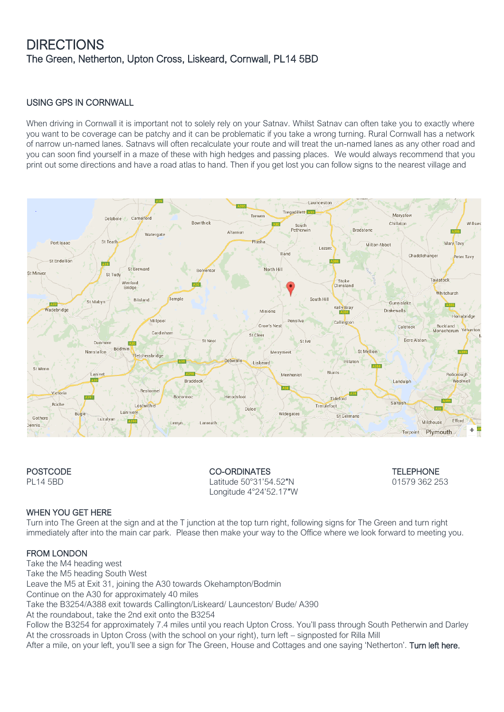# **DIRECTIONS** The Green, Netherton, Upton Cross, Liskeard, Cornwall, PL14 5BD

#### USING GPS IN CORNWALL

When driving in Cornwall it is important not to solely rely on your Satnay. Whilst Satnay can often take you to exactly where you want to be coverage can be patchy and it can be problematic if you take a wrong turning. Rural Cornwall has a network of narrow un-named lanes. Satnavs will often recalculate your route and will treat the un-named lanes as any other road and you can soon find yourself in a maze of these with high hedges and passing places. We would always recommend that you print out some directions and have a road atlas to hand. Then if you get lost you can follow signs to the nearest village and



POSTCODE CO-ORDINATES TELEPHONE PL14 5BD Latitude 50°31'54.52″N 01579 362 253 Longitude 4°24'52.17″W

#### WHEN YOU GET HERE

Turn into The Green at the sign and at the T junction at the top turn right, following signs for The Green and turn right immediately after into the main car park. Please then make your way to the Office where we look forward to meeting you.

#### FROM LONDON

Take the M4 heading west Take the M5 heading South West Leave the M5 at Exit 31, joining the A30 towards Okehampton/Bodmin Continue on the A30 for approximately 40 miles Take the B3254/A388 exit towards Callington/Liskeard/ Launceston/ Bude/ A390 At the roundabout, take the 2nd exit onto the B3254 Follow the B3254 for approximately 7.4 miles until you reach Upton Cross. You'll pass through South Petherwin and Darley At the crossroads in Upton Cross (with the school on your right), turn left – signposted for Rilla Mill After a mile, on your left, you'll see a sign for The Green, House and Cottages and one saying 'Netherton'. Turn left here.